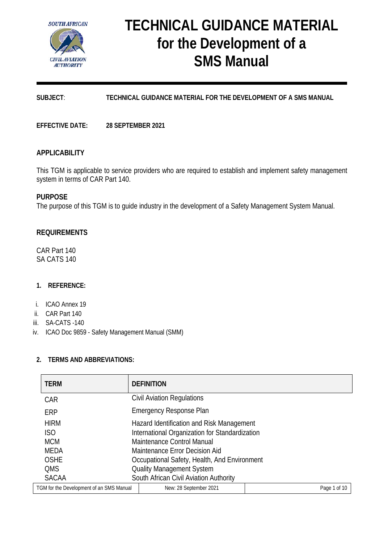

# **TECHNICAL GUIDANCE MATERIAL for the Development of a SMS Manual**

# **SUBJECT**: **TECHNICAL GUIDANCE MATERIAL FOR THE DEVELOPMENT OF A SMS MANUAL**

**EFFECTIVE DATE: 28 SEPTEMBER 2021**

## **APPLICABILITY**

This TGM is applicable to service providers who are required to establish and implement safety management system in terms of CAR Part 140.

## **PURPOSE**

The purpose of this TGM is to guide industry in the development of a Safety Management System Manual.

## **REQUIREMENTS**

CAR Part 140 SA CATS 140

## **1. REFERENCE:**

- i. ICAO Annex 19
- ii. CAR Part 140
- iii. SA-CATS -140
- iv. ICAO Doc 9859 Safety Management Manual (SMM)

#### **2. TERMS AND ABBREVIATIONS:**

| <b>TERM</b>                              | <b>DEFINITION</b>                              |              |
|------------------------------------------|------------------------------------------------|--------------|
| <b>CAR</b>                               | <b>Civil Aviation Regulations</b>              |              |
| <b>ERP</b>                               | <b>Emergency Response Plan</b>                 |              |
| <b>HIRM</b>                              | Hazard Identification and Risk Management      |              |
| ISO                                      | International Organization for Standardization |              |
| <b>MCM</b>                               | Maintenance Control Manual                     |              |
| <b>MEDA</b>                              | Maintenance Error Decision Aid                 |              |
| <b>OSHE</b>                              | Occupational Safety, Health, And Environment   |              |
| <b>QMS</b>                               | <b>Quality Management System</b>               |              |
| <b>SACAA</b>                             | South African Civil Aviation Authority         |              |
| TGM for the Development of an SMS Manual | New: 28 September 2021                         | Page 1 of 10 |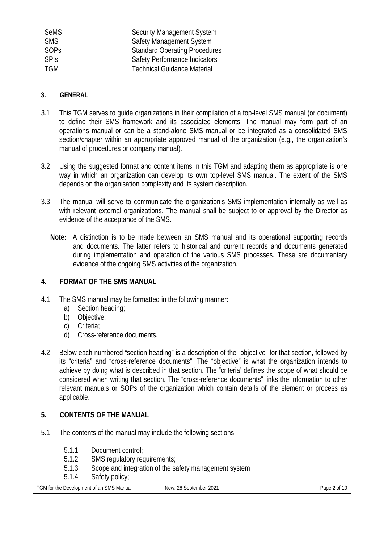| <b>SeMS</b> | <b>Security Management System</b>    |
|-------------|--------------------------------------|
| <b>SMS</b>  | Safety Management System             |
| <b>SOPS</b> | <b>Standard Operating Procedures</b> |
| <b>SPIS</b> | <b>Safety Performance Indicators</b> |
| <b>TGM</b>  | <b>Technical Guidance Material</b>   |

## **3. GENERAL**

- 3.1 This TGM serves to guide organizations in their compilation of a top-level SMS manual (or document) to define their SMS framework and its associated elements. The manual may form part of an operations manual or can be a stand-alone SMS manual or be integrated as a consolidated SMS section/chapter within an appropriate approved manual of the organization (e.g., the organization's manual of procedures or company manual).
- 3.2 Using the suggested format and content items in this TGM and adapting them as appropriate is one way in which an organization can develop its own top-level SMS manual. The extent of the SMS depends on the organisation complexity and its system description.
- 3.3 The manual will serve to communicate the organization's SMS implementation internally as well as with relevant external organizations. The manual shall be subject to or approval by the Director as evidence of the acceptance of the SMS.
	- **Note:** A distinction is to be made between an SMS manual and its operational supporting records and documents. The latter refers to historical and current records and documents generated during implementation and operation of the various SMS processes. These are documentary evidence of the ongoing SMS activities of the organization.

# **4. FORMAT OF THE SMS MANUAL**

- 4.1 The SMS manual may be formatted in the following manner:
	- a) Section heading;
	- b) Objective;
	- c) Criteria;
	- d) Cross-reference documents.
- 4.2 Below each numbered "section heading" is a description of the "objective" for that section, followed by its "criteria" and "cross-reference documents". The "objective" is what the organization intends to achieve by doing what is described in that section. The "criteria' defines the scope of what should be considered when writing that section. The "cross-reference documents" links the information to other relevant manuals or SOPs of the organization which contain details of the element or process as applicable.

## **5. CONTENTS OF THE MANUAL**

- 5.1 The contents of the manual may include the following sections:
	- 5.1.1 Document control;
	- 5.1.2 SMS regulatory requirements;
	- 5.1.3 Scope and integration of the safety management system
	- 5.1.4 Safety policy;

| TGM for the Development of an SMS Manual | New: 28 September 2021 | Page 2 of<br>. |
|------------------------------------------|------------------------|----------------|
|                                          |                        |                |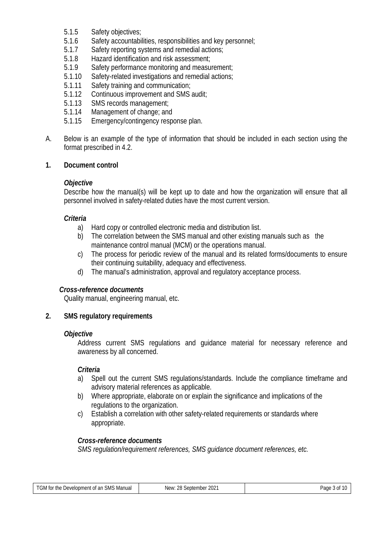- 5.1.5 Safety objectives;<br>5.1.6 Safety accountabi
- Safety accountabilities, responsibilities and key personnel;
- 5.1.7 Safety reporting systems and remedial actions;<br>5.1.8 Hazard identification and risk assessment;
- 5.1.8 Hazard identification and risk assessment;<br>5.1.9 Safety performance monitoring and measu
- Safety performance monitoring and measurement;
- 5.1.10 Safety-related investigations and remedial actions;<br>5.1.11 Safety training and communication:
- 5.1.11 Safety training and communication;<br>5.1.12 Continuous improvement and SMS
- 5.1.12 Continuous improvement and SMS audit;<br>5.1.13 SMS records management:
- 5.1.13 SMS records management;<br>5.1.14 Management of change: and
- 5.1.14 Management of change; and<br>5.1.15 Emergency/contingency resp
- Emergency/contingency response plan.
- A. Below is an example of the type of information that should be included in each section using the format prescribed in 4.2.

## **1. Document control**

## *Objective*

Describe how the manual(s) will be kept up to date and how the organization will ensure that all personnel involved in safety-related duties have the most current version.

## *Criteria*

- a) Hard copy or controlled electronic media and distribution list.
- b) The correlation between the SMS manual and other existing manuals such as the maintenance control manual (MCM) or the operations manual.
- c) The process for periodic review of the manual and its related forms/documents to ensure their continuing suitability, adequacy and effectiveness.
- d) The manual's administration, approval and regulatory acceptance process.

## *Cross-reference documents*

Quality manual, engineering manual, etc.

## **2. SMS regulatory requirements**

## *Objective*

Address current SMS regulations and guidance material for necessary reference and awareness by all concerned.

## *Criteria*

- a) Spell out the current SMS regulations/standards. Include the compliance timeframe and advisory material references as applicable.
- b) Where appropriate, elaborate on or explain the significance and implications of the regulations to the organization.
- c) Establish a correlation with other safety-related requirements or standards where appropriate.

## *Cross-reference documents*

*SMS regulation/requirement references, SMS guidance document references, etc.*

| TGM.<br>the<br>SMS Manual<br>Development<br>. ar<br>tor<br>- 1115<br>IJU.<br>$\mathbf{U}$ | $\sim$ $\sim$<br>ົ<br>New<br>sente<br>ZUZ<br>ember | $\sqrt{2}$<br>a mar |
|-------------------------------------------------------------------------------------------|----------------------------------------------------|---------------------|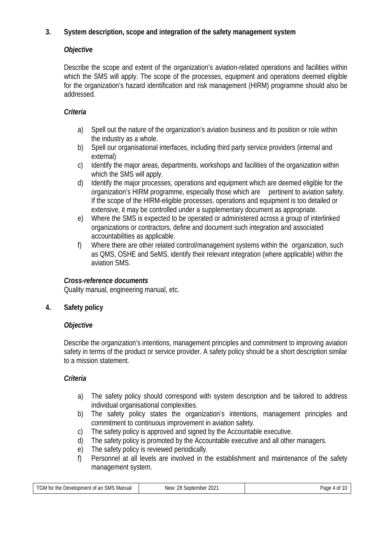# **3. System description, scope and integration of the safety management system**

# *Objective*

Describe the scope and extent of the organization's aviation-related operations and facilities within which the SMS will apply. The scope of the processes, equipment and operations deemed eligible for the organization's hazard identification and risk management (HIRM) programme should also be addressed.

# *Criteria*

- a) Spell out the nature of the organization's aviation business and its position or role within the industry as a whole.
- b) Spell our organisational interfaces, including third party service providers (internal and external)
- c) Identify the major areas, departments, workshops and facilities of the organization within which the SMS will apply.
- d) Identify the major processes, operations and equipment which are deemed eligible for the organization's HIRM programme, especially those which are pertinent to aviation safety. If the scope of the HIRM-eligible processes, operations and equipment is too detailed or extensive, it may be controlled under a supplementary document as appropriate.
- e) Where the SMS is expected to be operated or administered across a group of interlinked organizations or contractors, define and document such integration and associated accountabilities as applicable.
- f) Where there are other related control/management systems within the organization, such as QMS, OSHE and SeMS, identify their relevant integration (where applicable) within the aviation SMS.

# *Cross-reference documents*

Quality manual, engineering manual, etc.

# **4. Safety policy**

# *Objective*

Describe the organization's intentions, management principles and commitment to improving aviation safety in terms of the product or service provider. A safety policy should be a short description similar to a mission statement.

# *Criteria*

- a) The safety policy should correspond with system description and be tailored to address individual organisational complexities.
- b) The safety policy states the organization's intentions, management principles and commitment to continuous improvement in aviation safety.
- c) The safety policy is approved and signed by the Accountable executive.
- d) The safety policy is promoted by the Accountable executive and all other managers.
- e) The safety policy is reviewed periodically.
- f) Personnel at all levels are involved in the establishment and maintenance of the safety management system.

| $T$ $C$ $M$ $f$<br><b>SMS Manual</b><br>∵the i<br>. Development<br>u an<br>tor<br>∩t<br>ЫVІ<br>u | າດ<br>$\Omega$<br>NIA₩<br>september<br>ZUZ.<br>- 77<br><b>MIL</b> | Page<br>Λt<br>u<br>שו |
|--------------------------------------------------------------------------------------------------|-------------------------------------------------------------------|-----------------------|
|                                                                                                  |                                                                   |                       |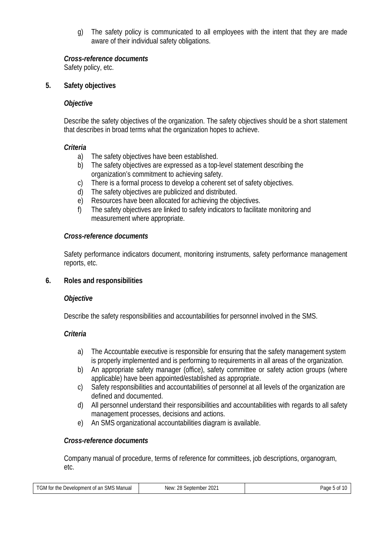g) The safety policy is communicated to all employees with the intent that they are made aware of their individual safety obligations.

## *Cross-reference documents*

Safety policy, etc.

## **5. Safety objectives**

## *Objective*

Describe the safety objectives of the organization. The safety objectives should be a short statement that describes in broad terms what the organization hopes to achieve.

## *Criteria*

- a) The safety objectives have been established.
- b) The safety objectives are expressed as a top-level statement describing the organization's commitment to achieving safety.
- c) There is a formal process to develop a coherent set of safety objectives.<br>d) The safety objectives are publicized and distributed.
- The safety objectives are publicized and distributed.
- e) Resources have been allocated for achieving the objectives.
- f) The safety objectives are linked to safety indicators to facilitate monitoring and measurement where appropriate.

# *Cross-reference documents*

Safety performance indicators document, monitoring instruments, safety performance management reports, etc.

# **6. Roles and responsibilities**

## *Objective*

Describe the safety responsibilities and accountabilities for personnel involved in the SMS.

## *Criteria*

- a) The Accountable executive is responsible for ensuring that the safety management system is properly implemented and is performing to requirements in all areas of the organization.
- b) An appropriate safety manager (office), safety committee or safety action groups (where applicable) have been appointed/established as appropriate.
- c) Safety responsibilities and accountabilities of personnel at all levels of the organization are defined and documented.
- d) All personnel understand their responsibilities and accountabilities with regards to all safety management processes, decisions and actions.
- e) An SMS organizational accountabilities diagram is available.

# *Cross-reference documents*

Company manual of procedure, terms of reference for committees, job descriptions, organogram, etc.

| TGM for the Development of an SMS Manual | New: 28 September 2021 | Pane 5<br>5 Of<br>uuu |
|------------------------------------------|------------------------|-----------------------|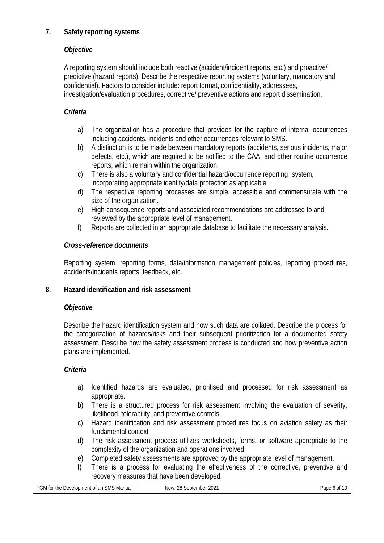# **7. Safety reporting systems**

# *Objective*

A reporting system should include both reactive (accident/incident reports, etc.) and proactive/ predictive (hazard reports). Describe the respective reporting systems (voluntary, mandatory and confidential). Factors to consider include: report format, confidentiality, addressees, investigation/evaluation procedures, corrective/ preventive actions and report dissemination.

# *Criteria*

- a) The organization has a procedure that provides for the capture of internal occurrences including accidents, incidents and other occurrences relevant to SMS.
- b) A distinction is to be made between mandatory reports (accidents, serious incidents, major defects, etc.), which are required to be notified to the CAA, and other routine occurrence reports, which remain within the organization.
- c) There is also a voluntary and confidential hazard/occurrence reporting system, incorporating appropriate identity/data protection as applicable.
- d) The respective reporting processes are simple, accessible and commensurate with the size of the organization.
- e) High-consequence reports and associated recommendations are addressed to and reviewed by the appropriate level of management.
- f) Reports are collected in an appropriate database to facilitate the necessary analysis.

# *Cross-reference documents*

Reporting system, reporting forms, data/information management policies, reporting procedures, accidents/incidents reports, feedback, etc.

# **8. Hazard identification and risk assessment**

# *Objective*

Describe the hazard identification system and how such data are collated. Describe the process for the categorization of hazards/risks and their subsequent prioritization for a documented safety assessment. Describe how the safety assessment process is conducted and how preventive action plans are implemented.

# *Criteria*

- a) Identified hazards are evaluated, prioritised and processed for risk assessment as appropriate.
- b) There is a structured process for risk assessment involving the evaluation of severity, likelihood, tolerability, and preventive controls.
- c) Hazard identification and risk assessment procedures focus on aviation safety as their fundamental context
- d) The risk assessment process utilizes worksheets, forms, or software appropriate to the complexity of the organization and operations involved.
- e) Completed safety assessments are approved by the appropriate level of management.
- f) There is a process for evaluating the effectiveness of the corrective, preventive and recovery measures that have been developed.

| TGM for .<br>* th∈<br>Manual<br>. Development of an '<br>SMS | $\sim$<br>ററ<br>NI∆\M'<br>eptember<br>LUZ.<br>______ | Pane. |
|--------------------------------------------------------------|------------------------------------------------------|-------|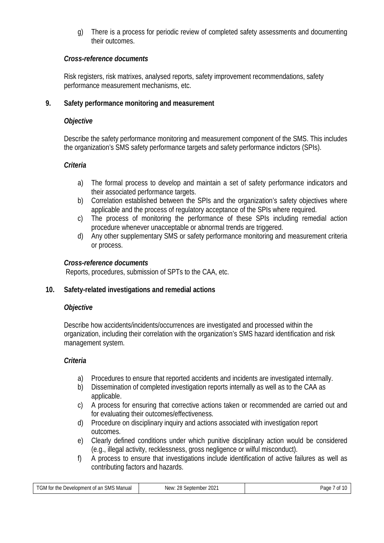g) There is a process for periodic review of completed safety assessments and documenting their outcomes.

## *Cross-reference documents*

Risk registers, risk matrixes, analysed reports, safety improvement recommendations, safety performance measurement mechanisms, etc.

## **9. Safety performance monitoring and measurement**

## *Objective*

Describe the safety performance monitoring and measurement component of the SMS. This includes the organization's SMS safety performance targets and safety performance indictors (SPIs).

## *Criteria*

- a) The formal process to develop and maintain a set of safety performance indicators and their associated performance targets.
- b) Correlation established between the SPIs and the organization's safety objectives where applicable and the process of regulatory acceptance of the SPIs where required.
- c) The process of monitoring the performance of these SPIs including remedial action procedure whenever unacceptable or abnormal trends are triggered.
- d) Any other supplementary SMS or safety performance monitoring and measurement criteria or process.

## *Cross-reference documents*

Reports, procedures, submission of SPTs to the CAA, etc.

## **10. Safety-related investigations and remedial actions**

## *Objective*

Describe how accidents/incidents/occurrences are investigated and processed within the organization, including their correlation with the organization's SMS hazard identification and risk management system.

## *Criteria*

- a) Procedures to ensure that reported accidents and incidents are investigated internally.
- b) Dissemination of completed investigation reports internally as well as to the CAA as applicable.
- c) A process for ensuring that corrective actions taken or recommended are carried out and for evaluating their outcomes/effectiveness.
- d) Procedure on disciplinary inquiry and actions associated with investigation report outcomes.
- e) Clearly defined conditions under which punitive disciplinary action would be considered (e.g., illegal activity, recklessness, gross negligence or wilful misconduct).
- f) A process to ensure that investigations include identification of active failures as well as contributing factors and hazards.

| TGM for the<br><b>SMS Manual</b><br>: Development of an | $202^{\circ}$<br>28<br>New <sup>.</sup><br>september | Page<br>0ľ |
|---------------------------------------------------------|------------------------------------------------------|------------|
|                                                         | <b>MILLYM</b>                                        |            |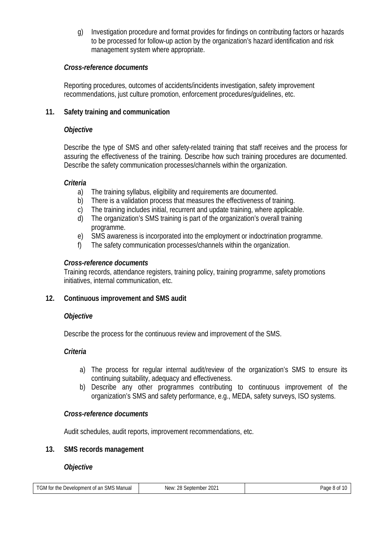g) Investigation procedure and format provides for findings on contributing factors or hazards to be processed for follow-up action by the organization's hazard identification and risk management system where appropriate.

## *Cross-reference documents*

Reporting procedures, outcomes of accidents/incidents investigation, safety improvement recommendations, just culture promotion, enforcement procedures/guidelines, etc.

## **11. Safety training and communication**

## *Objective*

Describe the type of SMS and other safety-related training that staff receives and the process for assuring the effectiveness of the training. Describe how such training procedures are documented. Describe the safety communication processes/channels within the organization.

## *Criteria*

- a) The training syllabus, eligibility and requirements are documented.
- b) There is a validation process that measures the effectiveness of training.
- c) The training includes initial, recurrent and update training, where applicable.<br>d) The organization's SMS training is part of the organization's overall training
- The organization's SMS training is part of the organization's overall training programme.
- e) SMS awareness is incorporated into the employment or indoctrination programme.
- f) The safety communication processes/channels within the organization.

## *Cross-reference documents*

Training records, attendance registers, training policy, training programme, safety promotions initiatives, internal communication, etc.

# **12. Continuous improvement and SMS audit**

## *Objective*

Describe the process for the continuous review and improvement of the SMS.

# *Criteria*

- a) The process for regular internal audit/review of the organization's SMS to ensure its continuing suitability, adequacy and effectiveness.
- b) Describe any other programmes contributing to continuous improvement of the organization's SMS and safety performance, e.g., MEDA, safety surveys, ISO systems.

## *Cross-reference documents*

Audit schedules, audit reports, improvement recommendations, etc.

## **13. SMS records management**

## *Objective*

| <b>TGM</b><br>$\ddot{\phantom{0}}$<br>⊦SMS Manual<br>* th∈<br>. Development<br>. ar<br>∡ ∩t<br>.<br>$\mathbf{1}$ | 28 S<br>$202 -$<br>NIA₩<br>ientemb<br>nber<br>. vevv | Page<br>.<br>$\mathbf{v}$ |
|------------------------------------------------------------------------------------------------------------------|------------------------------------------------------|---------------------------|
|                                                                                                                  |                                                      |                           |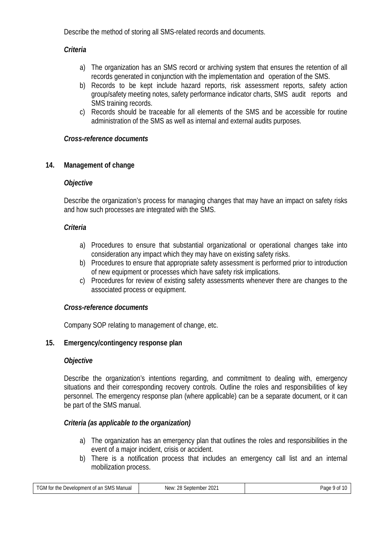Describe the method of storing all SMS-related records and documents.

## *Criteria*

- a) The organization has an SMS record or archiving system that ensures the retention of all records generated in conjunction with the implementation and operation of the SMS.
- b) Records to be kept include hazard reports, risk assessment reports, safety action group/safety meeting notes, safety performance indicator charts, SMS audit reports and SMS training records.
- c) Records should be traceable for all elements of the SMS and be accessible for routine administration of the SMS as well as internal and external audits purposes.

## *Cross-reference documents*

## **14. Management of change**

## *Objective*

Describe the organization's process for managing changes that may have an impact on safety risks and how such processes are integrated with the SMS.

## *Criteria*

- a) Procedures to ensure that substantial organizational or operational changes take into consideration any impact which they may have on existing safety risks.
- b) Procedures to ensure that appropriate safety assessment is performed prior to introduction of new equipment or processes which have safety risk implications.
- c) Procedures for review of existing safety assessments whenever there are changes to the associated process or equipment.

## *Cross-reference documents*

Company SOP relating to management of change, etc.

## **15. Emergency/contingency response plan**

## *Objective*

Describe the organization's intentions regarding, and commitment to dealing with, emergency situations and their corresponding recovery controls. Outline the roles and responsibilities of key personnel. The emergency response plan (where applicable) can be a separate document, or it can be part of the SMS manual.

## *Criteria (as applicable to the organization)*

- a) The organization has an emergency plan that outlines the roles and responsibilities in the event of a major incident, crisis or accident.
- b) There is a notification process that includes an emergency call list and an internal mobilization process.